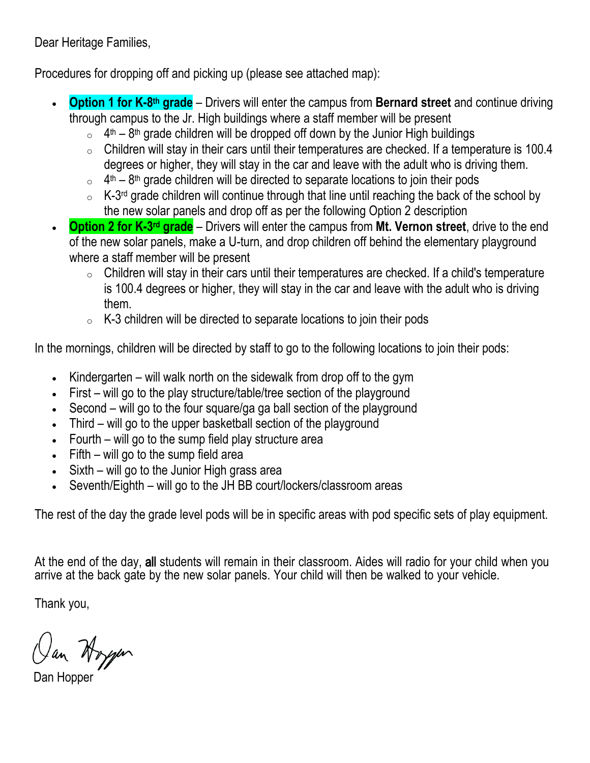Dear Heritage Families,

Procedures for dropping off and picking up (please see attached map):

- **Option 1 for K-8<sup>th</sup> grade** Drivers will enter the campus from **Bernard street** and continue driving through campus to the Jr. High buildings where a staff member will be present
	- $\circ$  4<sup>th</sup> 8<sup>th</sup> grade children will be dropped off down by the Junior High buildings
	- $\circ$  Children will stay in their cars until their temperatures are checked. If a temperature is 100.4 degrees or higher, they will stay in the car and leave with the adult who is driving them.
	- $\circ$  4<sup>th</sup> 8<sup>th</sup> grade children will be directed to separate locations to join their pods
	- $\circ$  K-3<sup>rd</sup> grade children will continue through that line until reaching the back of the school by the new solar panels and drop off as per the following Option 2 description
- **Option 2 for K-3<sup>rd</sup> grade** Drivers will enter the campus from Mt. Vernon street, drive to the end of the new solar panels, make a U-turn, and drop children off behind the elementary playground where a staff member will be present
	- $\circ$  Children will stay in their cars until their temperatures are checked. If a child's temperature is 100.4 degrees or higher, they will stay in the car and leave with the adult who is driving them.
	- $\circ$  K-3 children will be directed to separate locations to join their pods

In the mornings, children will be directed by staff to go to the following locations to join their pods:

- Kindergarten will walk north on the sidewalk from drop off to the gym
- First will go to the play structure/table/tree section of the playground
- Second will go to the four square/ga ga ball section of the playground
- Third will go to the upper basketball section of the playground
- Fourth will go to the sump field play structure area
- $\bullet$  Fifth will go to the sump field area
- Sixth will go to the Junior High grass area
- Seventh/Eighth will go to the JH BB court/lockers/classroom areas

The rest of the day the grade level pods will be in specific areas with pod specific sets of play equipment.

At the end of the day, all students will remain in their classroom. Aides will radio for your child when you arrive at the back gate by the new solar panels. Your child will then be walked to your vehicle.

Thank you,

Oan Hoyen